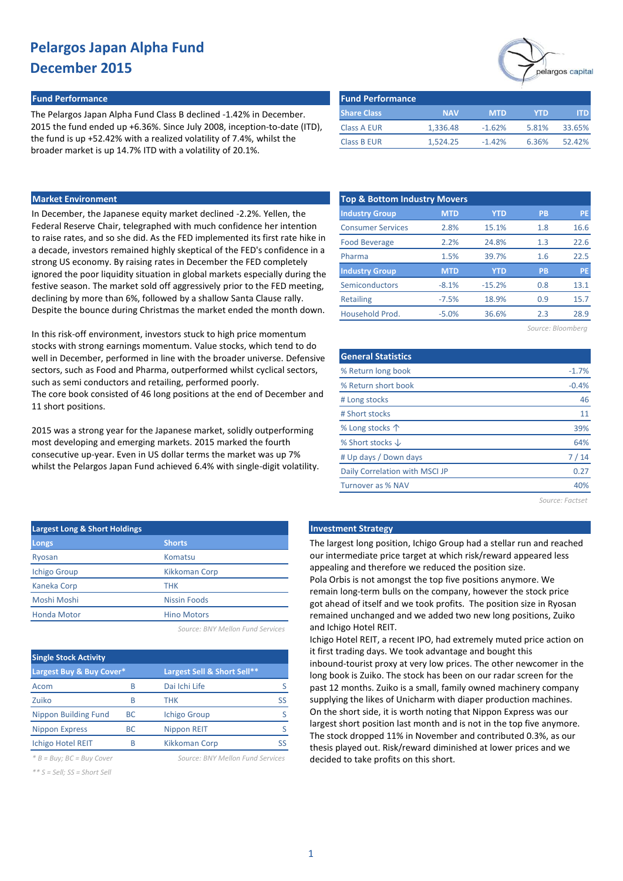# elargos capital

#### **Fund Performance Fund Performance**

The Pelargos Japan Alpha Fund Class B declined -1.42% in December. 2015 the fund ended up +6.36%. Since July 2008, inception-to-date (ITD), the fund is up +52.42% with a realized volatility of 7.4%, whilst the broader market is up 14.7% ITD with a volatility of 20.1%.

| <b>Fund Performance</b> |            |            |       |        |
|-------------------------|------------|------------|-------|--------|
| <b>Share Class</b>      | <b>NAV</b> | <b>MTD</b> | YTD   | ITD    |
| Class A EUR             | 1.336.48   | $-1.62%$   | 5.81% | 33.65% |
| <b>Class B EUR</b>      | 1.524.25   | $-1.42%$   | 6.36% | 52.42% |

### **Market Environment**

In December, the Japanese equity market declined -2.2%. Yellen, the Federal Reserve Chair, telegraphed with much confidence her intention to raise rates, and so she did. As the FED implemented its first rate hike in a decade, investors remained highly skeptical of the FED's confidence in a strong US economy. By raising rates in December the FED completely ignored the poor liquidity situation in global markets especially during the festive season. The market sold off aggressively prior to the FED meeting, declining by more than 6%, followed by a shallow Santa Clause rally. Despite the bounce during Christmas the market ended the month down.

In this risk-off environment, investors stuck to high price momentum stocks with strong earnings momentum. Value stocks, which tend to do well in December, performed in line with the broader universe. Defensive sectors, such as Food and Pharma, outperformed whilst cyclical sectors, such as semi conductors and retailing, performed poorly. The core book consisted of 46 long positions at the end of December and 11 short positions.

2015 was a strong year for the Japanese market, solidly outperforming most developing and emerging markets. 2015 marked the fourth consecutive up-year. Even in US dollar terms the market was up 7% whilst the Pelargos Japan Fund achieved 6.4% with single-digit volatility.

| <b>Top &amp; Bottom Industry Movers</b> |            |            |           |           |  |  |  |  |  |  |
|-----------------------------------------|------------|------------|-----------|-----------|--|--|--|--|--|--|
| <b>Industry Group</b>                   | <b>MTD</b> | <b>YTD</b> | <b>PB</b> | <b>PE</b> |  |  |  |  |  |  |
| <b>Consumer Services</b>                | 2.8%       | 15.1%      | 1.8       | 16.6      |  |  |  |  |  |  |
| <b>Food Beverage</b>                    | 2.2%       | 24.8%      | 1.3       | 22.6      |  |  |  |  |  |  |
| Pharma                                  | 1.5%       | 39.7%      | 1.6       | 22.5      |  |  |  |  |  |  |
| <b>Industry Group</b>                   | <b>MTD</b> | <b>YTD</b> | <b>PB</b> | PE        |  |  |  |  |  |  |
| Semiconductors                          | $-8.1%$    | $-15.2%$   | 0.8       | 13.1      |  |  |  |  |  |  |
| <b>Retailing</b>                        | $-7.5%$    | 18.9%      | 0.9       | 15.7      |  |  |  |  |  |  |
| Household Prod.                         | $-5.0%$    | 36.6%      | 2.3       | 28.9      |  |  |  |  |  |  |
|                                         |            |            |           |           |  |  |  |  |  |  |

| Source: Bloomberg |  |  |  |
|-------------------|--|--|--|
|-------------------|--|--|--|

| <b>General Statistics</b>      |         |
|--------------------------------|---------|
| % Return long book             | $-1.7%$ |
| % Return short book            | $-0.4%$ |
| # Long stocks                  | 46      |
| # Short stocks                 | 11      |
| % Long stocks $\uparrow$       | 39%     |
| % Short stocks $\downarrow$    | 64%     |
| # Up days / Down days          | 7/14    |
| Daily Correlation with MSCI JP | 0.27    |
| Turnover as % NAV              | 40%     |
|                                |         |

*Source: Factset*

| <b>Investment Strateg</b> |  |
|---------------------------|--|
|                           |  |

The largest long position, Ichigo Group had a stellar run and reached our intermediate price target at which risk/reward appeared less appealing and therefore we reduced the position size. Pola Orbis is not amongst the top five positions anymore. We remain long-term bulls on the company, however the stock price got ahead of itself and we took profits. The position size in Ryosan remained unchanged and we added two new long positions, Zuiko and Ichigo Hotel REIT.

Ichigo Hotel REIT, a recent IPO, had extremely muted price action on it first trading days. We took advantage and bought this inbound-tourist proxy at very low prices. The other newcomer in the long book is Zuiko. The stock has been on our radar screen for the past 12 months. Zuiko is a small, family owned machinery company supplying the likes of Unicharm with diaper production machines. On the short side, it is worth noting that Nippon Express was our largest short position last month and is not in the top five anymore. The stock dropped 11% in November and contributed 0.3%, as our thesis played out. Risk/reward diminished at lower prices and we decided to take profits on this short.

| <b>Largest Long &amp; Short Holdings</b> | <b>Investment Strategy</b> |                                              |
|------------------------------------------|----------------------------|----------------------------------------------|
| Longs                                    | <b>Shorts</b>              | The largest long posi                        |
| Ryosan                                   | Komatsu                    | our intermediate prio                        |
| <b>Ichigo Group</b>                      | <b>Kikkoman Corp</b>       | appealing and theref                         |
| Kaneka Corp                              | <b>THK</b>                 | Pola Orbis is not amo<br>remain long-term bu |
| Moshi Moshi                              | <b>Nissin Foods</b>        | got ahead of itself an                       |
| <b>Honda Motor</b>                       | <b>Hino Motors</b>         | remained unchanged                           |
|                                          |                            | and Ichigo Hotal DEIT                        |

*Source: BNY Mellon Fund Services*

| <b>Single Stock Activity</b> |    |                             |    |  |  |  |  |  |  |  |
|------------------------------|----|-----------------------------|----|--|--|--|--|--|--|--|
| Largest Buy & Buy Cover*     |    | Largest Sell & Short Sell** |    |  |  |  |  |  |  |  |
| Acom                         | R  | Dai Ichi Life               |    |  |  |  |  |  |  |  |
| Zuiko                        | B  | THK                         | SS |  |  |  |  |  |  |  |
| <b>Nippon Building Fund</b>  | ВC | <b>Ichigo Group</b>         |    |  |  |  |  |  |  |  |
| <b>Nippon Express</b>        | ВC | <b>Nippon REIT</b>          |    |  |  |  |  |  |  |  |
| <b>Ichigo Hotel REIT</b>     | B  | <b>Kikkoman Corp</b>        |    |  |  |  |  |  |  |  |

*\* B = Buy; BC = Buy Cover Source: BNY Mellon Fund Services*

*\*\* S = Sell; SS = Short Sell*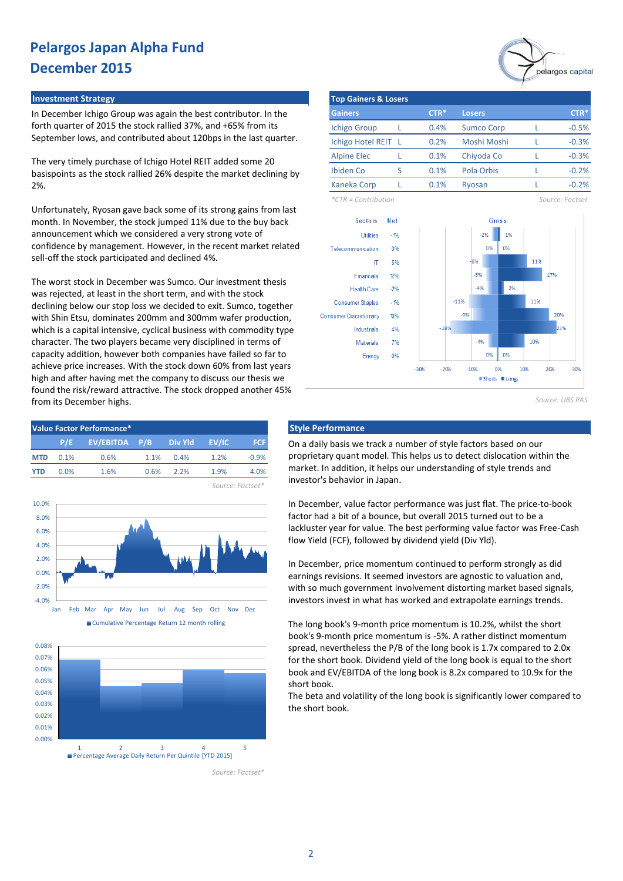#### **Investment Strategy**

In December Ichigo Group was again the best contributor. In the forth quarter of 2015 the stock rallied 37%, and +65% from its September lows, and contributed about 120bps in the last quarter.

The very timely purchase of Ichigo Hotel REIT added some 20 basispoints as the stock rallied 26% despite the market declining by 2%.

Unfortunately, Ryosan gave back some of its strong gains from last month. In November, the stock jumped 11% due to the buy back announcement which we considered a very strong vote of confidence by management. However, in the recent market related sell-off the stock participated and declined 4%.

The worst stock in December was Sumco. Our investment thesis was rejected, at least in the short term, and with the stock declining below our stop loss we decided to exit. Sumco, together with Shin Etsu, dominates 200mm and 300mm wafer production, which is a capital intensive, cyclical business with commodity type character. The two players became very disciplined in terms of capacity addition, however both companies have failed so far to achieve price increases. With the stock down 60% from last years high and after having met the company to discuss our thesis we found the risk/reward attractive. The stock dropped another 45% from its December highs.









*Source: Factset\**



|                     | <b>Top Gainers &amp; Losers</b> |        |                   |  |         |  |  |  |  |  |  |
|---------------------|---------------------------------|--------|-------------------|--|---------|--|--|--|--|--|--|
| <b>Gainers</b>      |                                 | $CTR*$ | <b>Losers</b>     |  | $CTR*$  |  |  |  |  |  |  |
| <b>Ichigo Group</b> |                                 | 0.4%   | <b>Sumco Corp</b> |  | $-0.5%$ |  |  |  |  |  |  |
| Ichigo Hotel REIT L |                                 | 0.2%   | Moshi Moshi       |  | $-0.3%$ |  |  |  |  |  |  |
| <b>Alpine Elec</b>  |                                 | 0.1%   | Chiyoda Co        |  | $-0.3%$ |  |  |  |  |  |  |
| Ibiden Co           | ς                               | 0.1%   | Pola Orbis        |  | $-0.2%$ |  |  |  |  |  |  |
| <b>Kaneka Corp</b>  |                                 | 0.1%   | Ryosan            |  | $-0.2%$ |  |  |  |  |  |  |

*\*CTR = Contribution Source: Factset*



*Source: UBS PAS*

On a daily basis we track a number of style factors based on our proprietary quant model. This helps us to detect dislocation within the market. In addition, it helps our understanding of style trends and investor's behavior in Japan.

In December, value factor performance was just flat. The price-to-book factor had a bit of a bounce, but overall 2015 turned out to be a lackluster year for value. The best performing value factor was Free-Cash flow Yield (FCF), followed by dividend yield (Div Yld).

In December, price momentum continued to perform strongly as did earnings revisions. It seemed investors are agnostic to valuation and, with so much government involvement distorting market based signals, investors invest in what has worked and extrapolate earnings trends.

The long book's 9-month price momentum is 10.2%, whilst the short book's 9-month price momentum is -5%. A rather distinct momentum spread, nevertheless the P/B of the long book is 1.7x compared to 2.0x for the short book. Dividend yield of the long book is equal to the short book and EV/EBITDA of the long book is 8.2x compared to 10.9x for the short book.

The beta and volatility of the long book is significantly lower compared to the short book.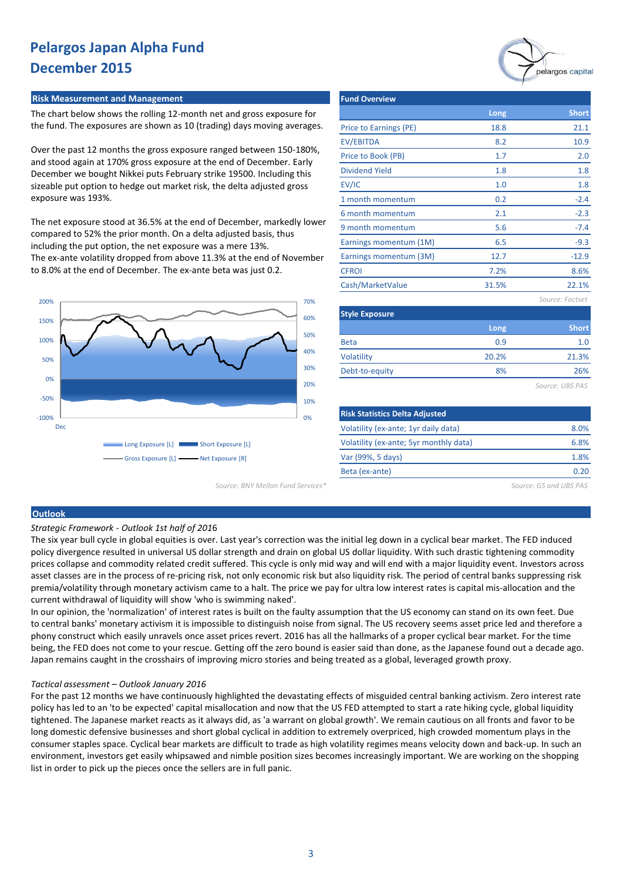#### **Risk Measurement and Management**

The chart below shows the rolling 12-month net and gross exposure for the fund. The exposures are shown as 10 (trading) days moving averages.

Over the past 12 months the gross exposure ranged between 150-180%, and stood again at 170% gross exposure at the end of December. Early December we bought Nikkei puts February strike 19500. Including this sizeable put option to hedge out market risk, the delta adjusted gross exposure was 193%.

The net exposure stood at 36.5% at the end of December, markedly lower compared to 52% the prior month. On a delta adjusted basis, thus including the put option, the net exposure was a mere 13%. The ex-ante volatility dropped from above 11.3% at the end of November to 8.0% at the end of December. The ex-ante beta was just 0.2.



|                        | pelargos capital |                 |  |  |  |
|------------------------|------------------|-----------------|--|--|--|
| <b>Fund Overview</b>   |                  |                 |  |  |  |
|                        | Long             | <b>Short</b>    |  |  |  |
| Price to Earnings (PE) | 18.8             | 21.1            |  |  |  |
| EV/EBITDA              | 8.2              | 10.9            |  |  |  |
| Price to Book (PB)     | 1.7              | 2.0             |  |  |  |
| <b>Dividend Yield</b>  | 1.8              | 1.8             |  |  |  |
| EV/IC                  | 1.0              | 1.8             |  |  |  |
| 1 month momentum       | 0.2              | $-2.4$          |  |  |  |
| 6 month momentum       | 2.1              | $-2.3$          |  |  |  |
| 9 month momentum       | 5.6              | $-7.4$          |  |  |  |
| Earnings momentum (1M) | 6.5              | $-9.3$          |  |  |  |
| Earnings momentum (3M) | 12.7             | $-12.9$         |  |  |  |
| <b>CFROI</b>           | 7.2%             | 8.6%            |  |  |  |
| Cash/MarketValue       | 31.5%            | 22.1%           |  |  |  |
|                        |                  | Source: Factset |  |  |  |
| <b>Style Exposure</b>  |                  |                 |  |  |  |
|                        | Long             | <b>Short</b>    |  |  |  |
| <b>Beta</b>            | 0.9              | 1.0             |  |  |  |
| <b>Volatility</b>      | 20.2%            | 21.3%           |  |  |  |
| Debt-to-equity         | 8%               | 26%             |  |  |  |
|                        |                  | Source: UBS PAS |  |  |  |

| <b>Risk Statistics Delta Adjusted</b>  |      |
|----------------------------------------|------|
| Volatility (ex-ante; 1yr daily data)   | 8.0% |
| Volatility (ex-ante; 5yr monthly data) | 6.8% |
| Var (99%, 5 days)                      | 1.8% |
| Beta (ex-ante)                         |      |
|                                        |      |

*Source: BNY Mellon Fund Services\* Source: GS and UBS PAS*

#### **Outlook**

*Strategic Framework - Outlook 1st half of 201*6

The six year bull cycle in global equities is over. Last year's correction was the initial leg down in a cyclical bear market. The FED induced policy divergence resulted in universal US dollar strength and drain on global US dollar liquidity. With such drastic tightening commodity prices collapse and commodity related credit suffered. This cycle is only mid way and will end with a major liquidity event. Investors across asset classes are in the process of re-pricing risk, not only economic risk but also liquidity risk. The period of central banks suppressing risk premia/volatility through monetary activism came to a halt. The price we pay for ultra low interest rates is capital mis-allocation and the current withdrawal of liquidity will show 'who is swimming naked'.

In our opinion, the 'normalization' of interest rates is built on the faulty assumption that the US economy can stand on its own feet. Due to central banks' monetary activism it is impossible to distinguish noise from signal. The US recovery seems asset price led and therefore a phony construct which easily unravels once asset prices revert. 2016 has all the hallmarks of a proper cyclical bear market. For the time being, the FED does not come to your rescue. Getting off the zero bound is easier said than done, as the Japanese found out a decade ago. Japan remains caught in the crosshairs of improving micro stories and being treated as a global, leveraged growth proxy.

#### *Tactical assessment – Outlook January 2016*

For the past 12 months we have continuously highlighted the devastating effects of misguided central banking activism. Zero interest rate policy has led to an 'to be expected' capital misallocation and now that the US FED attempted to start a rate hiking cycle, global liquidity tightened. The Japanese market reacts as it always did, as 'a warrant on global growth'. We remain cautious on all fronts and favor to be long domestic defensive businesses and short global cyclical in addition to extremely overpriced, high crowded momentum plays in the consumer staples space. Cyclical bear markets are difficult to trade as high volatility regimes means velocity down and back-up. In such an environment, investors get easily whipsawed and nimble position sizes becomes increasingly important. We are working on the shopping list in order to pick up the pieces once the sellers are in full panic.

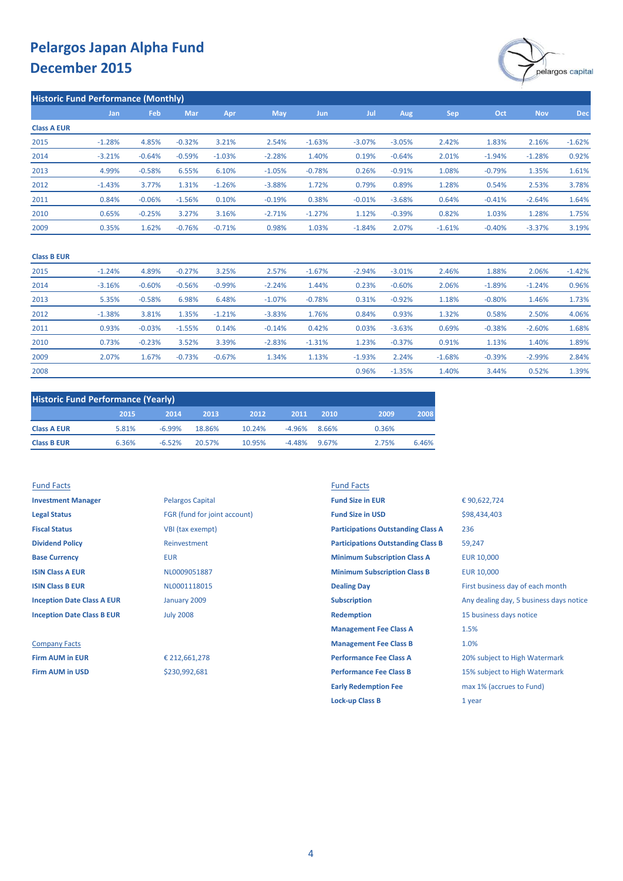

|                    | <b>Historic Fund Performance (Monthly)</b> |          |          |          |            |          |          |          |          |          |            |            |
|--------------------|--------------------------------------------|----------|----------|----------|------------|----------|----------|----------|----------|----------|------------|------------|
|                    | Jan                                        | Feb      | Mar      | Apr      | <b>May</b> | Jun      | Jul      | Aug      | Sep      | Oct      | <b>Nov</b> | <b>Dec</b> |
| <b>Class A EUR</b> |                                            |          |          |          |            |          |          |          |          |          |            |            |
| 2015               | $-1.28%$                                   | 4.85%    | $-0.32%$ | 3.21%    | 2.54%      | $-1.63%$ | $-3.07%$ | $-3.05%$ | 2.42%    | 1.83%    | 2.16%      | $-1.62%$   |
| 2014               | $-3.21%$                                   | $-0.64%$ | $-0.59%$ | $-1.03%$ | $-2.28%$   | 1.40%    | 0.19%    | $-0.64%$ | 2.01%    | $-1.94%$ | $-1.28%$   | 0.92%      |
| 2013               | 4.99%                                      | $-0.58%$ | 6.55%    | 6.10%    | $-1.05%$   | $-0.78%$ | 0.26%    | $-0.91%$ | 1.08%    | $-0.79%$ | 1.35%      | 1.61%      |
| 2012               | $-1.43%$                                   | 3.77%    | 1.31%    | $-1.26%$ | $-3.88%$   | 1.72%    | 0.79%    | 0.89%    | 1.28%    | 0.54%    | 2.53%      | 3.78%      |
| 2011               | 0.84%                                      | $-0.06%$ | $-1.56%$ | 0.10%    | $-0.19%$   | 0.38%    | $-0.01%$ | $-3.68%$ | 0.64%    | $-0.41%$ | $-2.64%$   | 1.64%      |
| 2010               | 0.65%                                      | $-0.25%$ | 3.27%    | 3.16%    | $-2.71%$   | $-1.27%$ | 1.12%    | $-0.39%$ | 0.82%    | 1.03%    | 1.28%      | 1.75%      |
| 2009               | 0.35%                                      | 1.62%    | $-0.76%$ | $-0.71%$ | 0.98%      | 1.03%    | $-1.84%$ | 2.07%    | $-1.61%$ | $-0.40%$ | $-3.37%$   | 3.19%      |

#### **Class B EUR**

| 2015 | $-1.24%$ | 4.89%    | $-0.27%$ | 3.25%    | 2.57%    | $-1.67%$ | $-2.94%$ | $-3.01%$ | 2.46%    | 1.88%    | 2.06%    | $-1.42%$ |
|------|----------|----------|----------|----------|----------|----------|----------|----------|----------|----------|----------|----------|
| 2014 | $-3.16%$ | $-0.60%$ | $-0.56%$ | $-0.99%$ | $-2.24%$ | 1.44%    | 0.23%    | $-0.60%$ | 2.06%    | $-1.89%$ | $-1.24%$ | 0.96%    |
| 2013 | 5.35%    | $-0.58%$ | 6.98%    | 6.48%    | $-1.07%$ | $-0.78%$ | 0.31%    | $-0.92%$ | 1.18%    | $-0.80%$ | 1.46%    | 1.73%    |
| 2012 | $-1.38%$ | 3.81%    | 1.35%    | $-1.21%$ | $-3.83%$ | 1.76%    | 0.84%    | 0.93%    | 1.32%    | 0.58%    | 2.50%    | 4.06%    |
| 2011 | 0.93%    | $-0.03%$ | $-1.55%$ | 0.14%    | $-0.14%$ | 0.42%    | 0.03%    | $-3.63%$ | 0.69%    | $-0.38%$ | $-2.60%$ | 1.68%    |
| 2010 | 0.73%    | $-0.23%$ | 3.52%    | 3.39%    | $-2.83%$ | $-1.31%$ | 1.23%    | $-0.37%$ | 0.91%    | 1.13%    | 1.40%    | 1.89%    |
| 2009 | 2.07%    | 1.67%    | $-0.73%$ | $-0.67%$ | 1.34%    | 1.13%    | $-1.93%$ | 2.24%    | $-1.68%$ | $-0.39%$ | $-2.99%$ | 2.84%    |
| 2008 |          |          |          |          |          |          | 0.96%    | $-1.35%$ | 1.40%    | 3.44%    | 0.52%    | 1.39%    |

| <b>Historic Fund Performance (Yearly)</b> |       |          |        |        |          |       |       |       |  |
|-------------------------------------------|-------|----------|--------|--------|----------|-------|-------|-------|--|
|                                           | 2015  | 2014     | 2013   | 2012   | 2011     | 2010  | 2009  | 2008  |  |
| <b>Class A EUR</b>                        | 5.81% | $-6.99%$ | 18.86% | 10.24% | $-4.96%$ | 8.66% | 0.36% |       |  |
| <b>Class B EUR</b>                        | 6.36% | $-6.52%$ | 20.57% | 10.95% | $-4.48%$ | 9.67% | 2.75% | 6.46% |  |

| <b>Fund Facts</b>                 |                              | <b>Fund Facts</b>                         |                                         |  |
|-----------------------------------|------------------------------|-------------------------------------------|-----------------------------------------|--|
| <b>Investment Manager</b>         | <b>Pelargos Capital</b>      | <b>Fund Size in EUR</b>                   | €90,622,724                             |  |
| <b>Legal Status</b>               | FGR (fund for joint account) | <b>Fund Size in USD</b>                   | \$98,434,403                            |  |
| <b>Fiscal Status</b>              | VBI (tax exempt)             | <b>Participations Outstanding Class A</b> | 236                                     |  |
| <b>Dividend Policy</b>            | Reinvestment                 | <b>Participations Outstanding Class B</b> | 59,247                                  |  |
| <b>Base Currency</b>              | <b>EUR</b>                   | <b>Minimum Subscription Class A</b>       | <b>EUR 10,000</b>                       |  |
| <b>ISIN Class A EUR</b>           | NL0009051887                 | <b>Minimum Subscription Class B</b>       | <b>EUR 10,000</b>                       |  |
| <b>ISIN Class B EUR</b>           | NL0001118015                 | <b>Dealing Day</b>                        | First business day of each month        |  |
| <b>Inception Date Class A EUR</b> | January 2009                 | <b>Subscription</b>                       | Any dealing day, 5 business days notice |  |
| <b>Inception Date Class B EUR</b> | <b>July 2008</b>             | <b>Redemption</b>                         | 15 business days notice                 |  |
|                                   |                              | <b>Management Fee Class A</b>             | 1.5%                                    |  |
| <b>Company Facts</b>              |                              | <b>Management Fee Class B</b>             | 1.0%                                    |  |
| <b>Firm AUM in EUR</b>            | € 212,661,278                | <b>Performance Fee Class A</b>            | 20% subject to High Watermark           |  |
| <b>Firm AUM in USD</b>            | \$230,992,681                | <b>Performance Fee Class B</b>            | 15% subject to High Watermark           |  |
|                                   |                              | <b>Early Redemption Fee</b>               | max 1% (accrues to Fund)                |  |
|                                   |                              | <b>Lock-up Class B</b>                    | 1 year                                  |  |